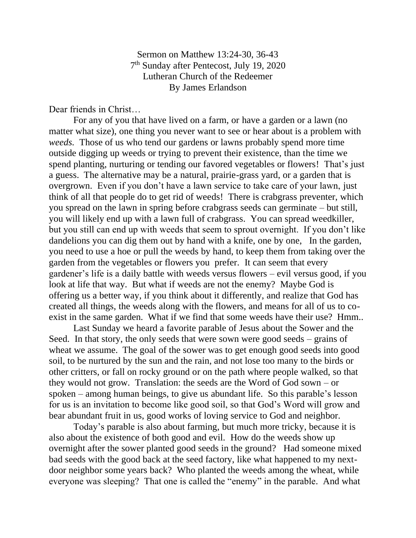Sermon on Matthew 13:24-30, 36-43 7<sup>th</sup> Sunday after Pentecost, July 19, 2020 Lutheran Church of the Redeemer By James Erlandson

Dear friends in Christ…

For any of you that have lived on a farm, or have a garden or a lawn (no matter what size), one thing you never want to see or hear about is a problem with *weeds.* Those of us who tend our gardens or lawns probably spend more time outside digging up weeds or trying to prevent their existence, than the time we spend planting, nurturing or tending our favored vegetables or flowers! That's just a guess. The alternative may be a natural, prairie-grass yard, or a garden that is overgrown. Even if you don't have a lawn service to take care of your lawn, just think of all that people do to get rid of weeds! There is crabgrass preventer, which you spread on the lawn in spring before crabgrass seeds can germinate – but still, you will likely end up with a lawn full of crabgrass. You can spread weedkiller, but you still can end up with weeds that seem to sprout overnight. If you don't like dandelions you can dig them out by hand with a knife, one by one, In the garden, you need to use a hoe or pull the weeds by hand, to keep them from taking over the garden from the vegetables or flowers you prefer. It can seem that every gardener's life is a daily battle with weeds versus flowers – evil versus good, if you look at life that way. But what if weeds are not the enemy? Maybe God is offering us a better way, if you think about it differently, and realize that God has created all things, the weeds along with the flowers, and means for all of us to coexist in the same garden. What if we find that some weeds have their use? Hmm..

Last Sunday we heard a favorite parable of Jesus about the Sower and the Seed. In that story, the only seeds that were sown were good seeds – grains of wheat we assume. The goal of the sower was to get enough good seeds into good soil, to be nurtured by the sun and the rain, and not lose too many to the birds or other critters, or fall on rocky ground or on the path where people walked, so that they would not grow. Translation: the seeds are the Word of God sown – or spoken – among human beings, to give us abundant life. So this parable's lesson for us is an invitation to become like good soil, so that God's Word will grow and bear abundant fruit in us, good works of loving service to God and neighbor.

Today's parable is also about farming, but much more tricky, because it is also about the existence of both good and evil. How do the weeds show up overnight after the sower planted good seeds in the ground? Had someone mixed bad seeds with the good back at the seed factory, like what happened to my nextdoor neighbor some years back? Who planted the weeds among the wheat, while everyone was sleeping? That one is called the "enemy" in the parable. And what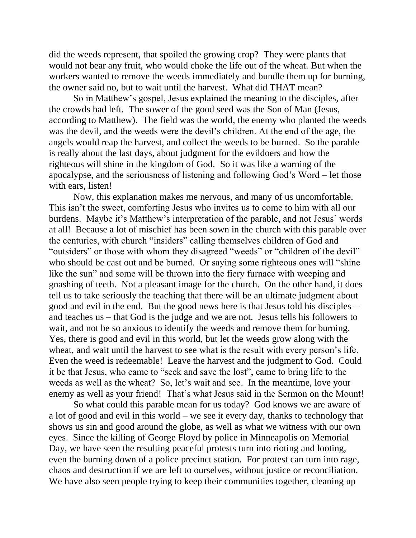did the weeds represent, that spoiled the growing crop? They were plants that would not bear any fruit, who would choke the life out of the wheat. But when the workers wanted to remove the weeds immediately and bundle them up for burning, the owner said no, but to wait until the harvest. What did THAT mean?

So in Matthew's gospel, Jesus explained the meaning to the disciples, after the crowds had left. The sower of the good seed was the Son of Man (Jesus, according to Matthew). The field was the world, the enemy who planted the weeds was the devil, and the weeds were the devil's children. At the end of the age, the angels would reap the harvest, and collect the weeds to be burned. So the parable is really about the last days, about judgment for the evildoers and how the righteous will shine in the kingdom of God. So it was like a warning of the apocalypse, and the seriousness of listening and following God's Word – let those with ears, listen!

Now, this explanation makes me nervous, and many of us uncomfortable. This isn't the sweet, comforting Jesus who invites us to come to him with all our burdens. Maybe it's Matthew's interpretation of the parable, and not Jesus' words at all! Because a lot of mischief has been sown in the church with this parable over the centuries, with church "insiders" calling themselves children of God and "outsiders" or those with whom they disagreed "weeds" or "children of the devil" who should be cast out and be burned. Or saying some righteous ones will "shine" like the sun" and some will be thrown into the fiery furnace with weeping and gnashing of teeth. Not a pleasant image for the church. On the other hand, it does tell us to take seriously the teaching that there will be an ultimate judgment about good and evil in the end. But the good news here is that Jesus told his disciples – and teaches us – that God is the judge and we are not. Jesus tells his followers to wait, and not be so anxious to identify the weeds and remove them for burning. Yes, there is good and evil in this world, but let the weeds grow along with the wheat, and wait until the harvest to see what is the result with every person's life. Even the weed is redeemable! Leave the harvest and the judgment to God. Could it be that Jesus, who came to "seek and save the lost", came to bring life to the weeds as well as the wheat? So, let's wait and see. In the meantime, love your enemy as well as your friend! That's what Jesus said in the Sermon on the Mount!

So what could this parable mean for us today? God knows we are aware of a lot of good and evil in this world – we see it every day, thanks to technology that shows us sin and good around the globe, as well as what we witness with our own eyes. Since the killing of George Floyd by police in Minneapolis on Memorial Day, we have seen the resulting peaceful protests turn into rioting and looting, even the burning down of a police precinct station. For protest can turn into rage, chaos and destruction if we are left to ourselves, without justice or reconciliation. We have also seen people trying to keep their communities together, cleaning up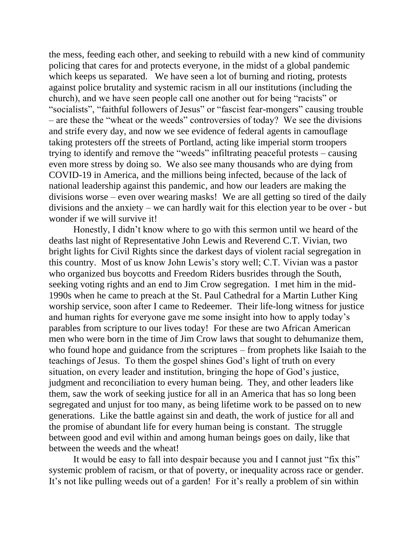the mess, feeding each other, and seeking to rebuild with a new kind of community policing that cares for and protects everyone, in the midst of a global pandemic which keeps us separated. We have seen a lot of burning and rioting, protests against police brutality and systemic racism in all our institutions (including the church), and we have seen people call one another out for being "racists" or "socialists", "faithful followers of Jesus" or "fascist fear-mongers" causing trouble – are these the "wheat or the weeds" controversies of today? We see the divisions and strife every day, and now we see evidence of federal agents in camouflage taking protesters off the streets of Portland, acting like imperial storm troopers trying to identify and remove the "weeds" infiltrating peaceful protests – causing even more stress by doing so. We also see many thousands who are dying from COVID-19 in America, and the millions being infected, because of the lack of national leadership against this pandemic, and how our leaders are making the divisions worse – even over wearing masks! We are all getting so tired of the daily divisions and the anxiety – we can hardly wait for this election year to be over - but wonder if we will survive it!

Honestly, I didn't know where to go with this sermon until we heard of the deaths last night of Representative John Lewis and Reverend C.T. Vivian, two bright lights for Civil Rights since the darkest days of violent racial segregation in this country. Most of us know John Lewis's story well; C.T. Vivian was a pastor who organized bus boycotts and Freedom Riders busrides through the South, seeking voting rights and an end to Jim Crow segregation. I met him in the mid-1990s when he came to preach at the St. Paul Cathedral for a Martin Luther King worship service, soon after I came to Redeemer. Their life-long witness for justice and human rights for everyone gave me some insight into how to apply today's parables from scripture to our lives today! For these are two African American men who were born in the time of Jim Crow laws that sought to dehumanize them, who found hope and guidance from the scriptures – from prophets like Isaiah to the teachings of Jesus. To them the gospel shines God's light of truth on every situation, on every leader and institution, bringing the hope of God's justice, judgment and reconciliation to every human being. They, and other leaders like them, saw the work of seeking justice for all in an America that has so long been segregated and unjust for too many, as being lifetime work to be passed on to new generations. Like the battle against sin and death, the work of justice for all and the promise of abundant life for every human being is constant. The struggle between good and evil within and among human beings goes on daily, like that between the weeds and the wheat!

It would be easy to fall into despair because you and I cannot just "fix this" systemic problem of racism, or that of poverty, or inequality across race or gender. It's not like pulling weeds out of a garden! For it's really a problem of sin within